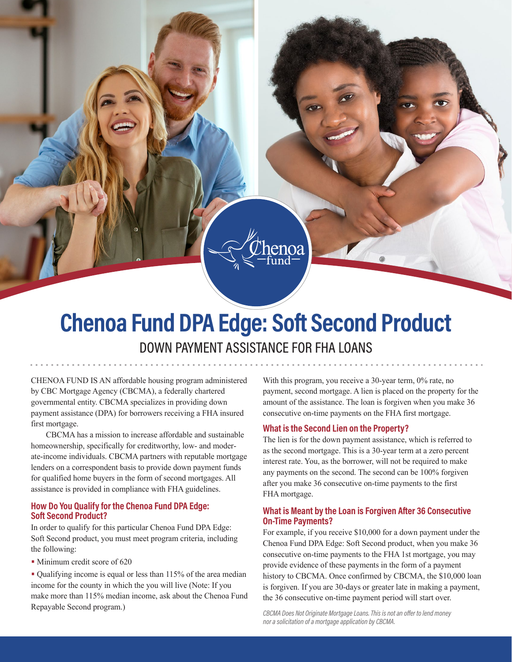# **Chenoa Fund DPA Edge: Soft Second Product** DOWN PAYMENT ASSISTANCE FOR FHA LOANS

CHENOA FUND IS AN affordable housing program administered by CBC Mortgage Agency (CBCMA), a federally chartered governmental entity. CBCMA specializes in providing down payment assistance (DPA) for borrowers receiving a FHA insured first mortgage.

CBCMA has a mission to increase affordable and sustainable homeownership, specifically for creditworthy, low- and moderate-income individuals. CBCMA partners with reputable mortgage lenders on a correspondent basis to provide down payment funds for qualified home buyers in the form of second mortgages. All assistance is provided in compliance with FHA guidelines.

#### **How Do You Qualify for the Chenoa Fund DPA Edge: Soft Second Product?**

In order to qualify for this particular Chenoa Fund DPA Edge: Soft Second product, you must meet program criteria, including the following:

• Minimum credit score of 620

• Qualifying income is equal or less than 115% of the area median income for the county in which the you will live (Note: If you make more than 115% median income, ask about the Chenoa Fund Repayable Second program.)

With this program, you receive a 30-year term,  $0\%$  rate,  $1\%$ payment, second mortgage. A lien is placed on the proper amount of the assistance. The loan is forgiven when you consecutive on-time payments on the FHA first mortgage.

## **What is the Second Lien on the Property?**

The lien is for the down payment assistance, which is ref as the second mortgage. This is a  $30$ -year term at a zero percent interest rate. You, as the borrower, will not be required to any payments on the second. The second can be 100% for after you make 36 consecutive on-time payments to the f FHA mortgage.

#### **What is Meant by the Loan is Forgiven After 36 Conset On-Time Payments?**

For example, if you receive \$10,000 for a down payment Chenoa Fund DPA Edge: Soft Second product, when you consecutive on-time payments to the FHA 1st mortgage, provide evidence of these payments in the form of a payr history to CBCMA. Once confirmed by CBCMA, the  $$1]$ is forgiven. If you are 30-days or greater late in making a the 36 consecutive on-time payment period will start ove

CBCMA Does Not Originate Mortgage Loans. This is not an offer to lend mon *nor a solicitation of a mortgage application by CBCMA.*